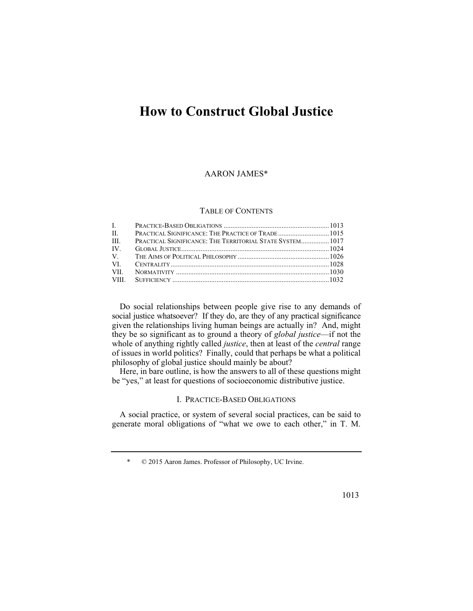# **How to Construct Global Justice**

## AARON JAMES\*

### TABLE OF CONTENTS

| L. C.       |                                                           |  |
|-------------|-----------------------------------------------------------|--|
| $\Pi$ .     |                                                           |  |
| HL.         | PRACTICAL SIGNIFICANCE: THE TERRITORIAL STATE SYSTEM 1017 |  |
| $IV_{-}$    |                                                           |  |
| $V_{\perp}$ |                                                           |  |
| VL.         |                                                           |  |
| VII.        |                                                           |  |
|             |                                                           |  |

Do social relationships between people give rise to any demands of social justice whatsoever? If they do, are they of any practical significance given the relationships living human beings are actually in? And, might they be so significant as to ground a theory of *global justice*—if not the whole of anything rightly called *justice*, then at least of the *central* range of issues in world politics? Finally, could that perhaps be what a political philosophy of global justice should mainly be about?

Here, in bare outline, is how the answers to all of these questions might be "yes," at least for questions of socioeconomic distributive justice.

## I. PRACTICE-BASED OBLIGATIONS

A social practice, or system of several social practices, can be said to generate moral obligations of "what we owe to each other," in T. M.

<sup>\* © 2015</sup> Aaron James. Professor of Philosophy, UC Irvine.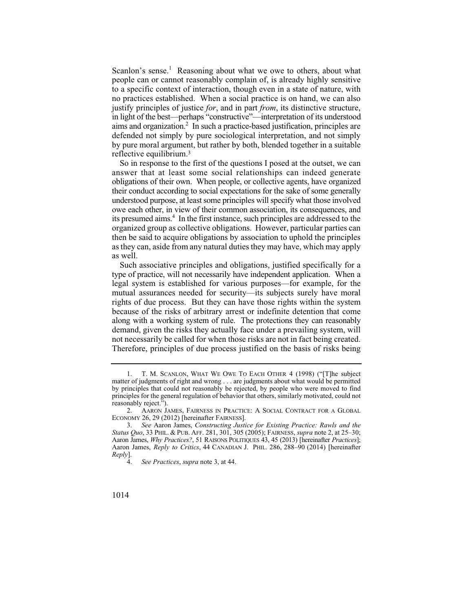in light of the best—perhaps "constructive"—interpretation of its understood  $a$  aims and organization.<sup>2</sup> In such a practice-based justification, principles are defended not simply by pure sociological interpretation, and not simply Scanlon's sense.<sup>1</sup> Reasoning about what we owe to others, about what people can or cannot reasonably complain of, is already highly sensitive to a specific context of interaction, though even in a state of nature, with no practices established. When a social practice is on hand, we can also justify principles of justice *for*, and in part *from*, its distinctive structure, by pure moral argument, but rather by both, blended together in a suitable reflective equilibrium.3

 obligations of their own. When people, or collective agents, have organized as they can, aside from any natural duties they may have, which may apply So in response to the first of the questions I posed at the outset, we can answer that at least some social relationships can indeed generate their conduct according to social expectations for the sake of some generally understood purpose, at least some principles will specify what those involved owe each other, in view of their common association, its consequences, and its presumed aims.<sup>4</sup> In the first instance, such principles are addressed to the organized group as collective obligations. However, particular parties can then be said to acquire obligations by association to uphold the principles as well.

 type of practice, will not necessarily have independent application. When a Such associative principles and obligations, justified specifically for a legal system is established for various purposes—for example, for the mutual assurances needed for security—its subjects surely have moral rights of due process. But they can have those rights within the system because of the risks of arbitrary arrest or indefinite detention that come along with a working system of rule. The protections they can reasonably demand, given the risks they actually face under a prevailing system, will not necessarily be called for when those risks are not in fact being created. Therefore, principles of due process justified on the basis of risks being

<sup>1.</sup> T. M. SCANLON, WHAT WE OWE TO EACH OTHER 4 (1998) ("[T]he subject matter of judgments of right and wrong . . . are judgments about what would be permitted by principles that could not reasonably be rejected, by people who were moved to find principles for the general regulation of behavior that others, similarly motivated, could not reasonably reject.").

<sup>2.</sup> AARON JAMES, FAIRNESS IN PRACTICE: A SOCIAL CONTRACT FOR A GLOBAL ECONOMY 26, 29 (2012) [hereinafter FAIRNESS].

 <sup>3.</sup> *See* Aaron James, *Constructing Justice for Existing Practice: Rawls and the Status Quo*, 33 PHIL.&PUB. AFF. 281, 301, 305 (2005); FAIRNESS, *supra* note 2, at 25–30; Aaron James, *Why Practices?*, 51 RAISONS POLITIQUES 43, 45 (2013) [hereinafter *Practices*]; Aaron James, *Reply to Critics*, 44 CANADIAN J. PHIL. 286, 288–90 (2014) [hereinafter *Reply*].

 4. *See Practices*, *supra* note 3, at 44.

<sup>1014</sup>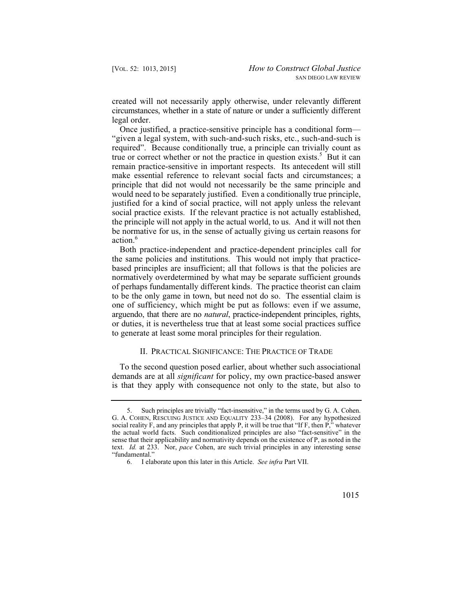created will not necessarily apply otherwise, under relevantly different circumstances, whether in a state of nature or under a sufficiently different legal order.

Once justified, a practice-sensitive principle has a conditional form— "given a legal system, with such-and-such risks, etc., such-and-such is required". Because conditionally true, a principle can trivially count as true or correct whether or not the practice in question exists.<sup>5</sup> But it can remain practice-sensitive in important respects. Its antecedent will still make essential reference to relevant social facts and circumstances; a principle that did not would not necessarily be the same principle and would need to be separately justified. Even a conditionally true principle, justified for a kind of social practice, will not apply unless the relevant social practice exists. If the relevant practice is not actually established, the principle will not apply in the actual world, to us. And it will not then be normative for us, in the sense of actually giving us certain reasons for action.6

Both practice-independent and practice-dependent principles call for the same policies and institutions. This would not imply that practicebased principles are insufficient; all that follows is that the policies are normatively overdetermined by what may be separate sufficient grounds of perhaps fundamentally different kinds. The practice theorist can claim to be the only game in town, but need not do so. The essential claim is one of sufficiency, which might be put as follows: even if we assume, arguendo, that there are no *natural*, practice-independent principles, rights, or duties, it is nevertheless true that at least some social practices suffice to generate at least some moral principles for their regulation.

## II. PRACTICAL SIGNIFICANCE: THE PRACTICE OF TRADE

To the second question posed earlier, about whether such associational demands are at all *significant* for policy, my own practice-based answer is that they apply with consequence not only to the state, but also to

<sup>5.</sup> Such principles are trivially "fact-insensitive," in the terms used by G. A. Cohen. G. A. COHEN, RESCUING JUSTICE AND EQUALITY 233–34 (2008). For any hypothesized social reality F, and any principles that apply P, it will be true that "If F, then P," whatever the actual world facts. Such conditionalized principles are also "fact-sensitive" in the sense that their applicability and normativity depends on the existence of P, as noted in the text. *Id.* at 233. Nor, *pace* Cohen, are such trivial principles in any interesting sense "fundamental."

<sup>6.</sup> I elaborate upon this later in this Article. *See infra* Part VII.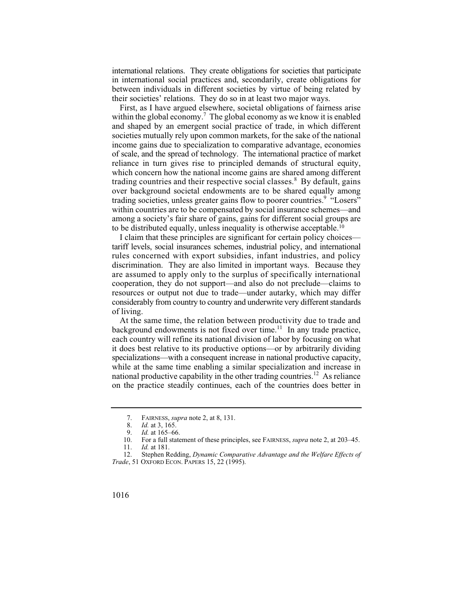international relations. They create obligations for societies that participate in international social practices and, secondarily, create obligations for between individuals in different societies by virtue of being related by their societies' relations. They do so in at least two major ways.

trading countries and their respective social classes.<sup>8</sup> By default, gains First, as I have argued elsewhere, societal obligations of fairness arise within the global economy.<sup>7</sup> The global economy as we know it is enabled and shaped by an emergent social practice of trade, in which different societies mutually rely upon common markets, for the sake of the national income gains due to specialization to comparative advantage, economies of scale, and the spread of technology. The international practice of market reliance in turn gives rise to principled demands of structural equity, which concern how the national income gains are shared among different over background societal endowments are to be shared equally among trading societies, unless greater gains flow to poorer countries.<sup>9</sup> "Losers" within countries are to be compensated by social insurance schemes—and among a society's fair share of gains, gains for different social groups are to be distributed equally, unless inequality is otherwise acceptable.10

I claim that these principles are significant for certain policy choices tariff levels, social insurances schemes, industrial policy, and international rules concerned with export subsidies, infant industries, and policy discrimination. They are also limited in important ways. Because they are assumed to apply only to the surplus of specifically international cooperation, they do not support—and also do not preclude—claims to resources or output not due to trade—under autarky, which may differ considerably from country to country and underwrite very different standards of living.

At the same time, the relation between productivity due to trade and background endowments is not fixed over time.<sup>11</sup> In any trade practice, each country will refine its national division of labor by focusing on what it does best relative to its productive options—or by arbitrarily dividing specializations—with a consequent increase in national productive capacity, while at the same time enabling a similar specialization and increase in national productive capability in the other trading countries.<sup>12</sup> As reliance on the practice steadily continues, each of the countries does better in

 <sup>7.</sup> FAIRNESS, *supra* note 2, at 8, 131.

<sup>8.</sup> *Id.* at 3, 165.<br>9. *Id.* at 165–66

<sup>9.</sup> *Id.* at 165–66.

<sup>10.</sup> For a full statement of these principles, see FAIRNESS, *supra* note 2, at 203–45.

*Id.* at 181.

 12. Stephen Redding, *Dynamic Comparative Advantage and the Welfare Effects of Trade*, 51 OXFORD ECON. PAPERS 15, 22 (1995).

<sup>1016</sup>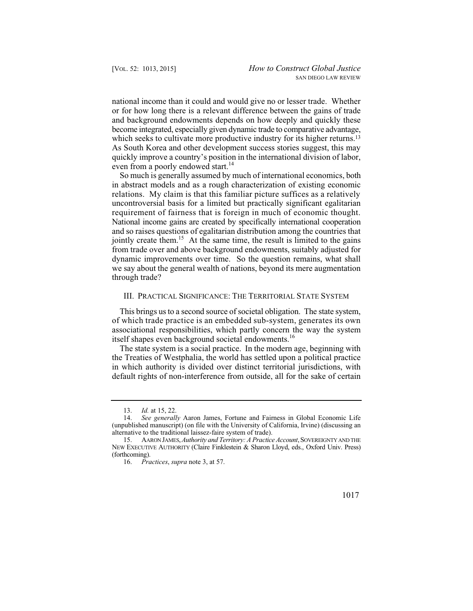national income than it could and would give no or lesser trade. Whether or for how long there is a relevant difference between the gains of trade and background endowments depends on how deeply and quickly these become integrated, especially given dynamic trade to comparative advantage, which seeks to cultivate more productive industry for its higher returns.<sup>13</sup> As South Korea and other development success stories suggest, this may quickly improve a country's position in the international division of labor, even from a poorly endowed start.<sup>14</sup>

 relations. My claim is that this familiar picture suffices as a relatively So much is generally assumed by much of international economics, both in abstract models and as a rough characterization of existing economic uncontroversial basis for a limited but practically significant egalitarian requirement of fairness that is foreign in much of economic thought. National income gains are created by specifically international cooperation and so raises questions of egalitarian distribution among the countries that jointly create them.<sup>15</sup> At the same time, the result is limited to the gains from trade over and above background endowments, suitably adjusted for dynamic improvements over time. So the question remains, what shall we say about the general wealth of nations, beyond its mere augmentation through trade?

#### III. PRACTICAL SIGNIFICANCE: THE TERRITORIAL STATE SYSTEM

This brings us to a second source of societal obligation. The state system, of which trade practice is an embedded sub-system, generates its own associational responsibilities, which partly concern the way the system itself shapes even background societal endowments.<sup>16</sup>

The state system is a social practice. In the modern age, beginning with the Treaties of Westphalia, the world has settled upon a political practice in which authority is divided over distinct territorial jurisdictions, with default rights of non-interference from outside, all for the sake of certain



 <sup>13.</sup> *Id.* at 15, 22.

<sup>14.</sup> *See generally* Aaron James, Fortune and Fairness in Global Economic Life (unpublished manuscript) (on file with the University of California, Irvine) (discussing an alternative to the traditional laissez-faire system of trade).

<sup>15.</sup> AARON JAMES, *Authority and Territory: A Practice Account*, SOVEREIGNTY AND THE NEW EXECUTIVE AUTHORITY (Claire Finklestein & Sharon Lloyd, eds., Oxford Univ. Press) (forthcoming).

<sup>16.</sup> *Practices*, *supra* note 3, at 57.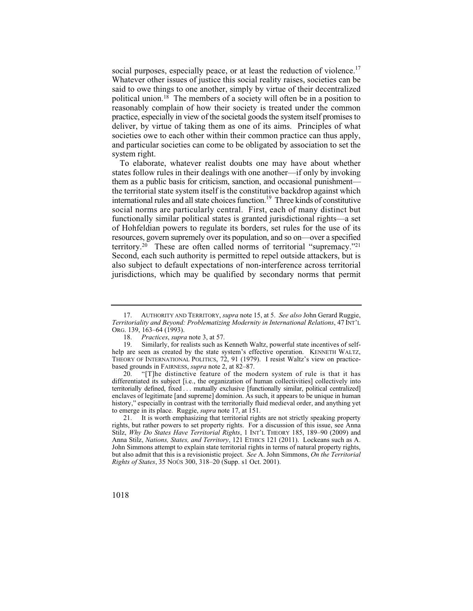social purposes, especially peace, or at least the reduction of violence.<sup>17</sup> Whatever other issues of justice this social reality raises, societies can be said to owe things to one another, simply by virtue of their decentralized political union.18 The members of a society will often be in a position to reasonably complain of how their society is treated under the common practice, especially in view of the societal goods the system itself promises to deliver, by virtue of taking them as one of its aims. Principles of what societies owe to each other within their common practice can thus apply, and particular societies can come to be obligated by association to set the system right.

To elaborate, whatever realist doubts one may have about whether states follow rules in their dealings with one another—if only by invoking them as a public basis for criticism, sanction, and occasional punishment the territorial state system itself is the constitutive backdrop against which international rules and all state choices function.19 Three kinds of constitutive social norms are particularly central. First, each of many distinct but functionally similar political states is granted jurisdictional rights—a set of Hohfeldian powers to regulate its borders, set rules for the use of its resources, govern supremely over its population, and so on—over a specified territory.20 These are often called norms of territorial "supremacy."21 Second, each such authority is permitted to repel outside attackers, but is also subject to default expectations of non-interference across territorial jurisdictions, which may be qualified by secondary norms that permit

 enclaves of legitimate [and supreme] dominion. As such, it appears to be unique in human "[T]he distinctive feature of the modern system of rule is that it has differentiated its subject [i.e., the organization of human collectivities] collectively into territorially defined, fixed . . . mutually exclusive [functionally similar, political centralized] history," especially in contrast with the territorially fluid medieval order, and anything yet to emerge in its place. Ruggie, *supra* note 17, at 151.

 John Simmons attempt to explain state territorial rights in terms of natural property rights, 21. It is worth emphasizing that territorial rights are not strictly speaking property rights, but rather powers to set property rights. For a discussion of this issue, see Anna Stilz, *Why Do States Have Territorial Rights*, 1 INT'L THEORY 185, 189–90 (2009) and Anna Stilz, *Nations, States, and Territory*, 121 ETHICS 121 (2011). Lockeans such as A. but also admit that this is a revisionistic project. *See* A. John Simmons, *On the Territorial Rights of States*, 35 NOÛS 300, 318–20 (Supp. s1 Oct. 2001).



 17. AUTHORITY AND TERRITORY, *supra* note 15, at 5. *See also* John Gerard Ruggie, *Territoriality and Beyond: Problematizing Modernity in International Relations*, 47 INT'L ORG. 139, 163–64 (1993).<br>18. *Practices, supra* 

<sup>18.</sup> *Practices*, *supra* note 3, at 57.

 help are seen as created by the state system's effective operation. KENNETH WALTZ, Similarly, for realists such as Kenneth Waltz, powerful state incentives of self-THEORY OF INTERNATIONAL POLITICS, 72, 91 (1979). I resist Waltz's view on practicebased grounds in FAIRNESS, *supra* note 2, at 82–87.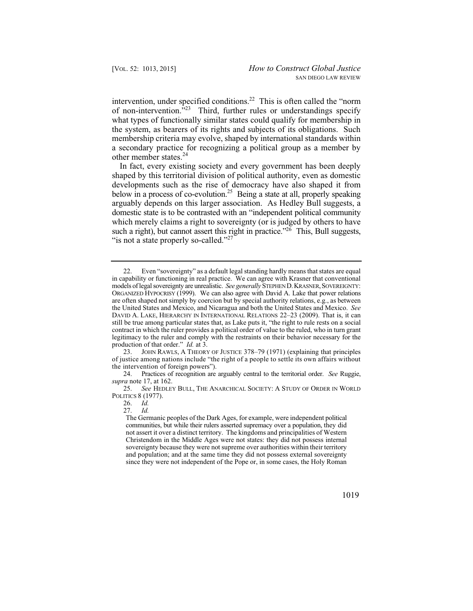intervention, under specified conditions.<sup>22</sup> This is often called the "norm of non-intervention. $^{323}$  Third, further rules or understandings specify what types of functionally similar states could qualify for membership in the system, as bearers of its rights and subjects of its obligations. Such membership criteria may evolve, shaped by international standards within a secondary practice for recognizing a political group as a member by other member states.<sup>24</sup>

such a right), but cannot assert this right in practice."<sup>26</sup> This, Bull suggests, In fact, every existing society and every government has been deeply shaped by this territorial division of political authority, even as domestic developments such as the rise of democracy have also shaped it from below in a process of co-evolution.<sup>25</sup> Being a state at all, properly speaking arguably depends on this larger association. As Hedley Bull suggests, a domestic state is to be contrasted with an "independent political community which merely claims a right to sovereignty (or is judged by others to have "is not a state properly so-called."<sup>27</sup>

 communities, but while their rulers asserted supremacy over a population, they did The Germanic peoples of the Dark Ages, for example, were independent political not assert it over a distinct territory. The kingdoms and principalities of Western Christendom in the Middle Ages were not states: they did not possess internal sovereignty because they were not supreme over authorities within their territory and population; and at the same time they did not possess external sovereignty since they were not independent of the Pope or, in some cases, the Holy Roman



 models of legal sovereignty are unrealistic. *See generally* STEPHEND. KRASNER,SOVEREIGNTY: ORGANIZED HYPOCRISY (1999). We can also agree with David A. Lake that power relations 22. Even "sovereignty" as a default legal standing hardly means that states are equal in capability or functioning in real practice. We can agree with Krasner that conventional are often shaped not simply by coercion but by special authority relations, e.g., as between the United States and Mexico, and Nicaragua and both the United States and Mexico. *See*  DAVID A. LAKE, HIERARCHY IN INTERNATIONAL RELATIONS 22-23 (2009). That is, it can still be true among particular states that, as Lake puts it, "the right to rule rests on a social contract in which the ruler provides a political order of value to the ruled, who in turn grant legitimacy to the ruler and comply with the restraints on their behavior necessary for the production of that order." *Id.* at 3.

<sup>23.</sup> JOHN RAWLS,ATHEORY OF JUSTICE 378–79 (1971) (explaining that principles of justice among nations include "the right of a people to settle its own affairs without the intervention of foreign powers").

<sup>24.</sup> Practices of recognition are arguably central to the territorial order. *See* Ruggie, *supra* note 17, at 162.

<sup>25.</sup> See HEDLEY BULL, THE ANARCHICAL SOCIETY: A STUDY OF ORDER IN WORLD POLITICS 8 (1977).

<sup>26.</sup> *Id.*

 <sup>27.</sup> *Id.*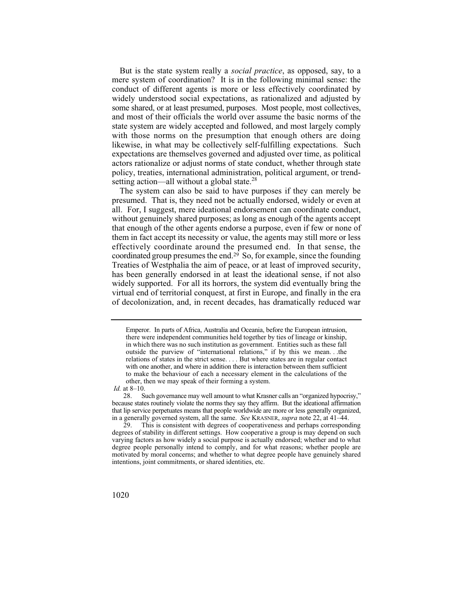But is the state system really a *social practice*, as opposed, say, to a mere system of coordination? It is in the following minimal sense: the conduct of different agents is more or less effectively coordinated by widely understood social expectations, as rationalized and adjusted by some shared, or at least presumed, purposes. Most people, most collectives, and most of their officials the world over assume the basic norms of the state system are widely accepted and followed, and most largely comply with those norms on the presumption that enough others are doing likewise, in what may be collectively self-fulfilling expectations. Such expectations are themselves governed and adjusted over time, as political actors rationalize or adjust norms of state conduct, whether through state policy, treaties, international administration, political argument, or trendsetting action—all without a global state. $28$ 

The system can also be said to have purposes if they can merely be presumed. That is, they need not be actually endorsed, widely or even at all. For, I suggest, mere ideational endorsement can coordinate conduct, without genuinely shared purposes; as long as enough of the agents accept that enough of the other agents endorse a purpose, even if few or none of them in fact accept its necessity or value, the agents may still more or less effectively coordinate around the presumed end. In that sense, the coordinated group presumes the end.29 So, for example, since the founding Treaties of Westphalia the aim of peace, or at least of improved security, has been generally endorsed in at least the ideational sense, if not also widely supported. For all its horrors, the system did eventually bring the virtual end of territorial conquest, at first in Europe, and finally in the era of decolonization, and, in recent decades, has dramatically reduced war

 there were independent communities held together by ties of lineage or kinship, with one another, and where in addition there is interaction between them sufficient to make the behaviour of each a necessary element in the calculations of the Emperor. In parts of Africa, Australia and Oceania, before the European intrusion, in which there was no such institution as government. Entities such as these fall outside the purview of "international relations," if by this we mean. . .the relations of states in the strict sense. . . . But where states are in regular contact other, then we may speak of their forming a system.

*Id.* at 8–10.

 that lip service perpetuates means that people worldwide are more or less generally organized, 28. Such governance may well amount to what Krasner calls an "organized hypocrisy," because states routinely violate the norms they say they affirm. But the ideational affirmation in a generally governed system, all the same. *See* KRASNER, *supra* note 22, at 41–44. <br>29. This is consistent with degrees of cooperativeness and perhaps correspondent

This is consistent with degrees of cooperativeness and perhaps corresponding degrees of stability in different settings. How cooperative a group is may depend on such varying factors as how widely a social purpose is actually endorsed; whether and to what degree people personally intend to comply, and for what reasons; whether people are motivated by moral concerns; and whether to what degree people have genuinely shared intentions, joint commitments, or shared identities, etc.

<sup>1020</sup>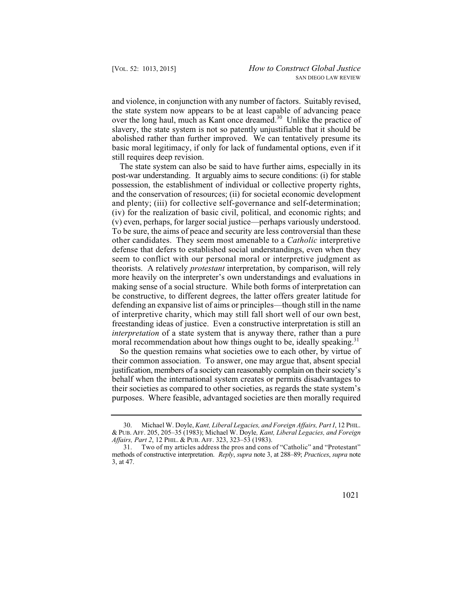and violence, in conjunction with any number of factors. Suitably revised, the state system now appears to be at least capable of advancing peace over the long haul, much as Kant once dreamed.<sup>30</sup> Unlike the practice of slavery, the state system is not so patently unjustifiable that it should be abolished rather than further improved. We can tentatively presume its basic moral legitimacy, if only for lack of fundamental options, even if it still requires deep revision.

 other candidates. They seem most amenable to a *Catholic* interpretive The state system can also be said to have further aims, especially in its post-war understanding. It arguably aims to secure conditions: (i) for stable possession, the establishment of individual or collective property rights, and the conservation of resources; (ii) for societal economic development and plenty; (iii) for collective self-governance and self-determination; (iv) for the realization of basic civil, political, and economic rights; and (v) even, perhaps, for larger social justice—perhaps variously understood. To be sure, the aims of peace and security are less controversial than these defense that defers to established social understandings, even when they seem to conflict with our personal moral or interpretive judgment as theorists. A relatively *protestant* interpretation, by comparison, will rely more heavily on the interpreter's own understandings and evaluations in making sense of a social structure. While both forms of interpretation can be constructive, to different degrees, the latter offers greater latitude for defending an expansive list of aims or principles—though still in the name of interpretive charity, which may still fall short well of our own best, freestanding ideas of justice. Even a constructive interpretation is still an *interpretation* of a state system that is anyway there, rather than a pure moral recommendation about how things ought to be, ideally speaking.<sup>31</sup>

So the question remains what societies owe to each other, by virtue of their common association. To answer, one may argue that, absent special justification, members of a society can reasonably complain on their society's behalf when the international system creates or permits disadvantages to their societies as compared to other societies, as regards the state system's purposes. Where feasible, advantaged societies are then morally required

<sup>30.</sup> Michael W. Doyle, *Kant, Liberal Legacies, and Foreign Affairs, Part I*, 12 PHIL. & PUB. AFF. 205, 205–35 (1983); Michael W. Doyle*, Kant, Liberal Legacies, and Foreign Affairs, Part 2*, 12 PHIL.&PUB. AFF. 323, 323–53 (1983).

<sup>31.</sup> Two of my articles address the pros and cons of "Catholic" and "Protestant" methods of constructive interpretation. *Reply*, *supra* note 3, at 288–89; *Practices*, *supra* note 3, at 47.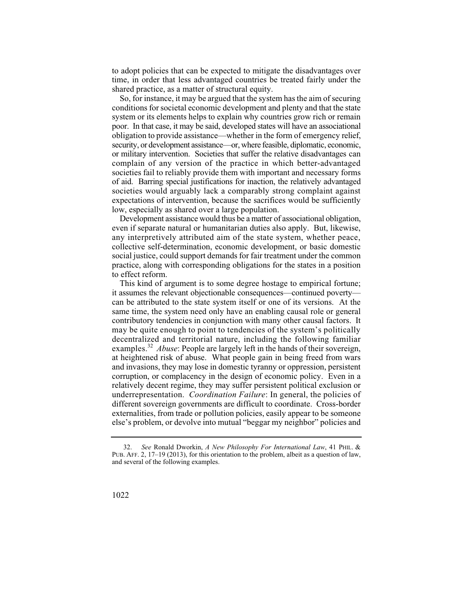to adopt policies that can be expected to mitigate the disadvantages over time, in order that less advantaged countries be treated fairly under the shared practice, as a matter of structural equity.

 societies would arguably lack a comparably strong complaint against So, for instance, it may be argued that the system has the aim of securing conditions for societal economic development and plenty and that the state system or its elements helps to explain why countries grow rich or remain poor. In that case, it may be said, developed states will have an associational obligation to provide assistance—whether in the form of emergency relief, security, or development assistance—or, where feasible, diplomatic, economic, or military intervention. Societies that suffer the relative disadvantages can complain of any version of the practice in which better-advantaged societies fail to reliably provide them with important and necessary forms of aid. Barring special justifications for inaction, the relatively advantaged expectations of intervention, because the sacrifices would be sufficiently low, especially as shared over a large population.

Development assistance would thus be a matter of associational obligation, even if separate natural or humanitarian duties also apply. But, likewise, any interpretively attributed aim of the state system, whether peace, collective self-determination, economic development, or basic domestic social justice, could support demands for fair treatment under the common practice, along with corresponding obligations for the states in a position to effect reform.

This kind of argument is to some degree hostage to empirical fortune; it assumes the relevant objectionable consequences—continued poverty can be attributed to the state system itself or one of its versions. At the same time, the system need only have an enabling causal role or general contributory tendencies in conjunction with many other causal factors. It may be quite enough to point to tendencies of the system's politically decentralized and territorial nature, including the following familiar examples.<sup>32</sup> *Abuse*: People are largely left in the hands of their sovereign, at heightened risk of abuse. What people gain in being freed from wars and invasions, they may lose in domestic tyranny or oppression, persistent corruption, or complacency in the design of economic policy. Even in a relatively decent regime, they may suffer persistent political exclusion or underrepresentation. *Coordination Failure*: In general, the policies of different sovereign governments are difficult to coordinate. Cross-border externalities, from trade or pollution policies, easily appear to be someone else's problem, or devolve into mutual "beggar my neighbor" policies and

 <sup>32.</sup> *See* Ronald Dworkin, *A New Philosophy For International Law*, 41 PHIL.& PUB. AFF. 2, 17–19 (2013), for this orientation to the problem, albeit as a question of law, and several of the following examples.

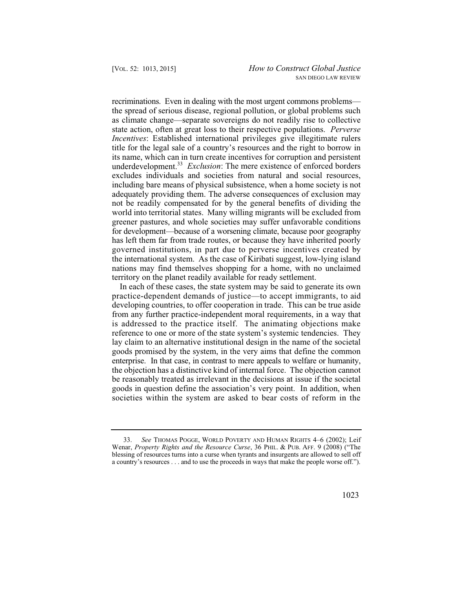state action, often at great loss to their respective populations. *Perverse*  recriminations. Even in dealing with the most urgent commons problems the spread of serious disease, regional pollution, or global problems such as climate change—separate sovereigns do not readily rise to collective *Incentives*: Established international privileges give illegitimate rulers title for the legal sale of a country's resources and the right to borrow in its name, which can in turn create incentives for corruption and persistent underdevelopment.<sup>33</sup> *Exclusion*: The mere existence of enforced borders excludes individuals and societies from natural and social resources, including bare means of physical subsistence, when a home society is not adequately providing them. The adverse consequences of exclusion may not be readily compensated for by the general benefits of dividing the world into territorial states. Many willing migrants will be excluded from greener pastures, and whole societies may suffer unfavorable conditions for development—because of a worsening climate, because poor geography has left them far from trade routes, or because they have inherited poorly governed institutions, in part due to perverse incentives created by the international system. As the case of Kiribati suggest, low-lying island nations may find themselves shopping for a home, with no unclaimed territory on the planet readily available for ready settlement.

In each of these cases, the state system may be said to generate its own practice-dependent demands of justice—to accept immigrants, to aid developing countries, to offer cooperation in trade. This can be true aside from any further practice-independent moral requirements, in a way that is addressed to the practice itself. The animating objections make reference to one or more of the state system's systemic tendencies. They lay claim to an alternative institutional design in the name of the societal goods promised by the system, in the very aims that define the common enterprise. In that case, in contrast to mere appeals to welfare or humanity, the objection has a distinctive kind of internal force. The objection cannot be reasonably treated as irrelevant in the decisions at issue if the societal goods in question define the association's very point. In addition, when societies within the system are asked to bear costs of reform in the

 blessing of resources turns into a curse when tyrants and insurgents are allowed to sell off See THOMAS POGGE, WORLD POVERTY AND HUMAN RIGHTS 4–6 (2002); Leif Wenar, *Property Rights and the Resource Curse*, 36 PHIL.&PUB. AFF. 9 (2008) ("The a country's resources . . . and to use the proceeds in ways that make the people worse off.").

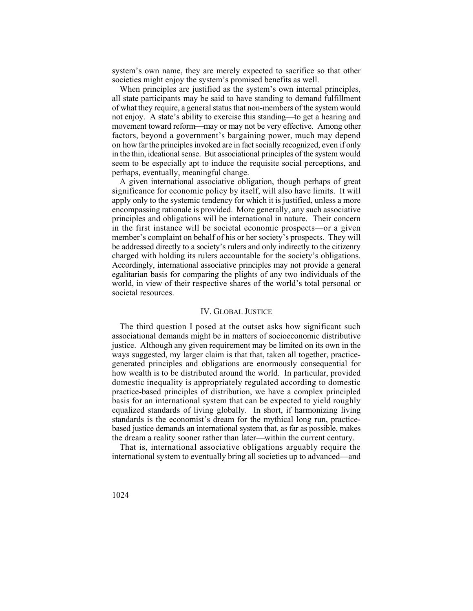system's own name, they are merely expected to sacrifice so that other societies might enjoy the system's promised benefits as well.

 of what they require, a general status that non-members of the system would in the thin, ideational sense. But associational principles of the system would When principles are justified as the system's own internal principles, all state participants may be said to have standing to demand fulfillment not enjoy. A state's ability to exercise this standing—to get a hearing and movement toward reform—may or may not be very effective. Among other factors, beyond a government's bargaining power, much may depend on how far the principles invoked are in fact socially recognized, even if only seem to be especially apt to induce the requisite social perceptions, and perhaps, eventually, meaningful change.

A given international associative obligation, though perhaps of great significance for economic policy by itself, will also have limits. It will apply only to the systemic tendency for which it is justified, unless a more encompassing rationale is provided. More generally, any such associative principles and obligations will be international in nature. Their concern in the first instance will be societal economic prospects—or a given member's complaint on behalf of his or her society's prospects. They will be addressed directly to a society's rulers and only indirectly to the citizenry charged with holding its rulers accountable for the society's obligations. Accordingly, international associative principles may not provide a general egalitarian basis for comparing the plights of any two individuals of the world, in view of their respective shares of the world's total personal or societal resources.

## IV. GLOBAL JUSTICE

The third question I posed at the outset asks how significant such associational demands might be in matters of socioeconomic distributive justice. Although any given requirement may be limited on its own in the ways suggested, my larger claim is that that, taken all together, practicegenerated principles and obligations are enormously consequential for how wealth is to be distributed around the world. In particular, provided domestic inequality is appropriately regulated according to domestic practice-based principles of distribution, we have a complex principled basis for an international system that can be expected to yield roughly equalized standards of living globally. In short, if harmonizing living standards is the economist's dream for the mythical long run, practicebased justice demands an international system that, as far as possible, makes the dream a reality sooner rather than later—within the current century.

That is, international associative obligations arguably require the international system to eventually bring all societies up to advanced—and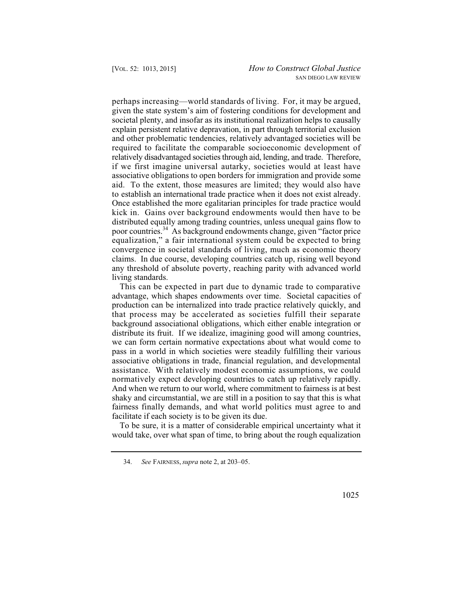convergence in societal standards of living, much as economic theory perhaps increasing—world standards of living. For, it may be argued, given the state system's aim of fostering conditions for development and societal plenty, and insofar as its institutional realization helps to causally explain persistent relative depravation, in part through territorial exclusion and other problematic tendencies, relatively advantaged societies will be required to facilitate the comparable socioeconomic development of relatively disadvantaged societies through aid, lending, and trade. Therefore, if we first imagine universal autarky, societies would at least have associative obligations to open borders for immigration and provide some aid. To the extent, those measures are limited; they would also have to establish an international trade practice when it does not exist already. Once established the more egalitarian principles for trade practice would kick in. Gains over background endowments would then have to be distributed equally among trading countries, unless unequal gains flow to poor countries.34 As background endowments change, given "factor price equalization," a fair international system could be expected to bring claims. In due course, developing countries catch up, rising well beyond any threshold of absolute poverty, reaching parity with advanced world living standards.

 fairness finally demands, and what world politics must agree to and This can be expected in part due to dynamic trade to comparative advantage, which shapes endowments over time. Societal capacities of production can be internalized into trade practice relatively quickly, and that process may be accelerated as societies fulfill their separate background associational obligations, which either enable integration or distribute its fruit. If we idealize, imagining good will among countries, we can form certain normative expectations about what would come to pass in a world in which societies were steadily fulfilling their various associative obligations in trade, financial regulation, and developmental assistance. With relatively modest economic assumptions, we could normatively expect developing countries to catch up relatively rapidly. And when we return to our world, where commitment to fairness is at best shaky and circumstantial, we are still in a position to say that this is what facilitate if each society is to be given its due.

To be sure, it is a matter of considerable empirical uncertainty what it would take, over what span of time, to bring about the rough equalization

 <sup>34.</sup> *See* FAIRNESS, *supra* note 2, at 203–05.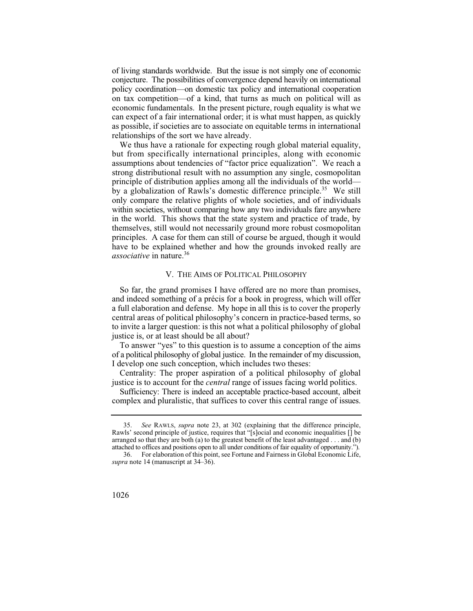of living standards worldwide. But the issue is not simply one of economic conjecture. The possibilities of convergence depend heavily on international policy coordination—on domestic tax policy and international cooperation on tax competition—of a kind, that turns as much on political will as economic fundamentals. In the present picture, rough equality is what we can expect of a fair international order; it is what must happen, as quickly as possible, if societies are to associate on equitable terms in international relationships of the sort we have already.

We thus have a rationale for expecting rough global material equality, but from specifically international principles, along with economic assumptions about tendencies of "factor price equalization". We reach a strong distributional result with no assumption any single, cosmopolitan principle of distribution applies among all the individuals of the world by a globalization of Rawls's domestic difference principle.<sup>35</sup> We still only compare the relative plights of whole societies, and of individuals within societies, without comparing how any two individuals fare anywhere in the world. This shows that the state system and practice of trade, by themselves, still would not necessarily ground more robust cosmopolitan principles. A case for them can still of course be argued, though it would have to be explained whether and how the grounds invoked really are *associative* in nature.<sup>36</sup>

#### V. THE AIMS OF POLITICAL PHILOSOPHY

So far, the grand promises I have offered are no more than promises, and indeed something of a précis for a book in progress, which will offer a full elaboration and defense. My hope in all this is to cover the properly central areas of political philosophy's concern in practice-based terms, so to invite a larger question: is this not what a political philosophy of global justice is, or at least should be all about?

To answer "yes" to this question is to assume a conception of the aims of a political philosophy of global justice. In the remainder of my discussion, I develop one such conception, which includes two theses:

Centrality: The proper aspiration of a political philosophy of global justice is to account for the *central* range of issues facing world politics.

 complex and pluralistic, that suffices to cover this central range of issues. Sufficiency: There is indeed an acceptable practice-based account, albeit

<sup>36.</sup> For elaboration of this point, see Fortune and Fairness in Global Economic Life, *supra* note 14 (manuscript at 34–36).



 attached to offices and positions open to all under conditions of fair equality of opportunity."). 35. *See* RAWLS, *supra* note 23, at 302 (explaining that the difference principle, Rawls' second principle of justice, requires that "[s]ocial and economic inequalities [] be arranged so that they are both (a) to the greatest benefit of the least advantaged . . . and (b)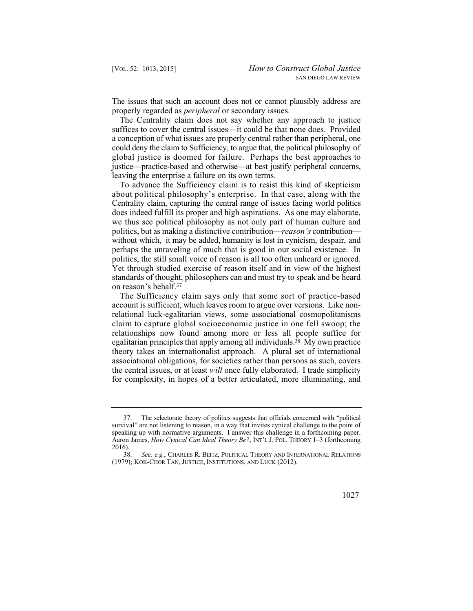The issues that such an account does not or cannot plausibly address are properly regarded as *peripheral* or secondary issues.

 could deny the claim to Sufficiency, to argue that, the political philosophy of global justice is doomed for failure. Perhaps the best approaches to The Centrality claim does not say whether any approach to justice suffices to cover the central issues—it could be that none does. Provided a conception of what issues are properly central rather than peripheral, one justice—practice-based and otherwise—at best justify peripheral concerns, leaving the enterprise a failure on its own terms.

 without which, it may be added, humanity is lost in cynicism, despair, and To advance the Sufficiency claim is to resist this kind of skepticism about political philosophy's enterprise. In that case, along with the Centrality claim, capturing the central range of issues facing world politics does indeed fulfill its proper and high aspirations. As one may elaborate, we thus see political philosophy as not only part of human culture and politics, but as making a distinctive contribution—*reason's* contribution perhaps the unraveling of much that is good in our social existence. In politics, the still small voice of reason is all too often unheard or ignored. Yet through studied exercise of reason itself and in view of the highest standards of thought, philosophers can and must try to speak and be heard on reason's behalf.37

The Sufficiency claim says only that some sort of practice-based account is sufficient, which leaves room to argue over versions. Like nonrelational luck-egalitarian views, some associational cosmopolitanisms claim to capture global socioeconomic justice in one fell swoop; the relationships now found among more or less all people suffice for egalitarian principles that apply among all individuals.<sup>38</sup> My own practice theory takes an internationalist approach. A plural set of international associational obligations, for societies rather than persons as such, covers the central issues, or at least *will* once fully elaborated. I trade simplicity for complexity, in hopes of a better articulated, more illuminating, and

See, e.g., CHARLES R. BEITZ, POLITICAL THEORY AND INTERNATIONAL RELATIONS (1979); KOK-CHOR TAN, JUSTICE, INSTITUTIONS, AND LUCK (2012).



<sup>37.</sup> The selectorate theory of politics suggests that officials concerned with "political survival" are not listening to reason, in a way that invites cynical challenge to the point of speaking up with normative arguments. I answer this challenge in a forthcoming paper. Aaron James, *How Cynical Can Ideal Theory Be?*, INT'L J. POL. THEORY 1–3 (forthcoming  $\frac{2016}{38}$ .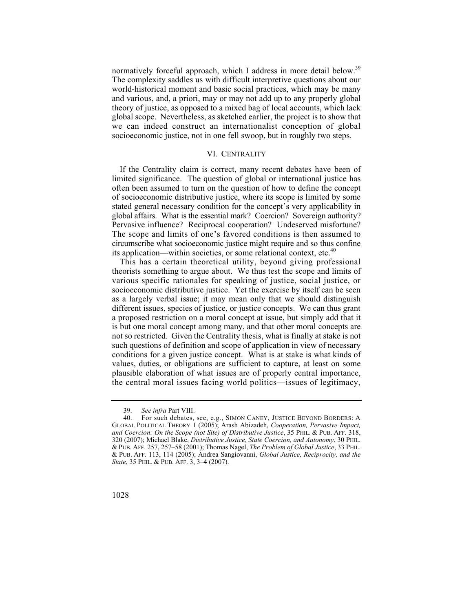normatively forceful approach, which I address in more detail below.<sup>39</sup> The complexity saddles us with difficult interpretive questions about our world-historical moment and basic social practices, which may be many and various, and, a priori, may or may not add up to any properly global theory of justice, as opposed to a mixed bag of local accounts, which lack global scope. Nevertheless, as sketched earlier, the project is to show that we can indeed construct an internationalist conception of global socioeconomic justice, not in one fell swoop, but in roughly two steps.

### VI. CENTRALITY

If the Centrality claim is correct, many recent debates have been of limited significance. The question of global or international justice has often been assumed to turn on the question of how to define the concept of socioeconomic distributive justice, where its scope is limited by some stated general necessary condition for the concept's very applicability in global affairs. What is the essential mark? Coercion? Sovereign authority? Pervasive influence? Reciprocal cooperation? Undeserved misfortune? The scope and limits of one's favored conditions is then assumed to circumscribe what socioeconomic justice might require and so thus confine its application—within societies, or some relational context, etc. $40$ 

This has a certain theoretical utility, beyond giving professional theorists something to argue about. We thus test the scope and limits of various specific rationales for speaking of justice, social justice, or socioeconomic distributive justice. Yet the exercise by itself can be seen as a largely verbal issue; it may mean only that we should distinguish different issues, species of justice, or justice concepts. We can thus grant a proposed restriction on a moral concept at issue, but simply add that it is but one moral concept among many, and that other moral concepts are not so restricted. Given the Centrality thesis, what is finally at stake is not such questions of definition and scope of application in view of necessary conditions for a given justice concept. What is at stake is what kinds of values, duties, or obligations are sufficient to capture, at least on some plausible elaboration of what issues are of properly central importance, the central moral issues facing world politics—issues of legitimacy,

 <sup>39.</sup> *See infra* Part VIII.

<sup>40.</sup> For such debates, see, e.g., SIMON CANEY, JUSTICE BEYOND BORDERS:A GLOBAL POLITICAL THEORY 1 (2005); Arash Abizadeh, *Cooperation, Pervasive Impact, and Coercion: On the Scope (not Site) of Distributive Justice*, 35 PHIL. & PUB. AFF. 318, 320 (2007); Michael Blake, *Distributive Justice, State Coercion, and Autonomy*, 30 PHIL. & PUB. AFF. 257, 257–58 (2001); Thomas Nagel, *The Problem of Global Justice*, 33 PHIL. & PUB. AFF. 113, 114 (2005); Andrea Sangiovanni, *Global Justice, Reciprocity, and the State*, 35 PHIL. & PUB. AFF. 3, 3-4 (2007).

<sup>1028</sup>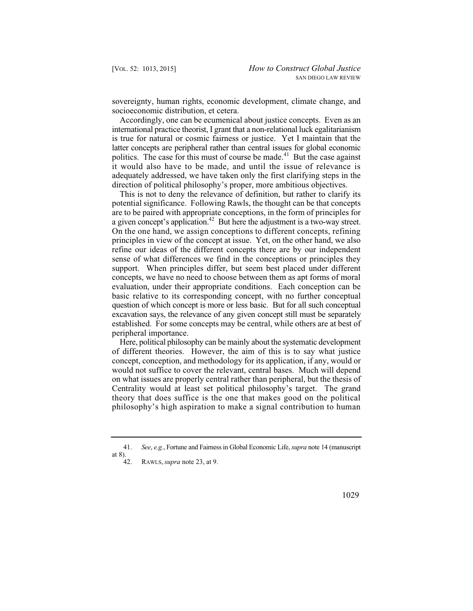sovereignty, human rights, economic development, climate change, and socioeconomic distribution, et cetera.

Accordingly, one can be ecumenical about justice concepts. Even as an international practice theorist, I grant that a non-relational luck egalitarianism is true for natural or cosmic fairness or justice. Yet I maintain that the latter concepts are peripheral rather than central issues for global economic politics. The case for this must of course be made.<sup>41</sup> But the case against it would also have to be made, and until the issue of relevance is adequately addressed, we have taken only the first clarifying steps in the direction of political philosophy's proper, more ambitious objectives.

This is not to deny the relevance of definition, but rather to clarify its potential significance. Following Rawls, the thought can be that concepts are to be paired with appropriate conceptions, in the form of principles for a given concept's application.42 But here the adjustment is a two-way street. On the one hand, we assign conceptions to different concepts, refining principles in view of the concept at issue. Yet, on the other hand, we also refine our ideas of the different concepts there are by our independent sense of what differences we find in the conceptions or principles they support. When principles differ, but seem best placed under different concepts, we have no need to choose between them as apt forms of moral evaluation, under their appropriate conditions. Each conception can be basic relative to its corresponding concept, with no further conceptual question of which concept is more or less basic. But for all such conceptual excavation says, the relevance of any given concept still must be separately established. For some concepts may be central, while others are at best of peripheral importance.

Here, political philosophy can be mainly about the systematic development of different theories. However, the aim of this is to say what justice concept, conception, and methodology for its application, if any, would or would not suffice to cover the relevant, central bases. Much will depend on what issues are properly central rather than peripheral, but the thesis of Centrality would at least set political philosophy's target. The grand theory that does suffice is the one that makes good on the political philosophy's high aspiration to make a signal contribution to human

 <sup>41.</sup> *See*, *e.g.*, Fortune and Fairness in Global Economic Life, *supra* note 14 (manuscript at 8).  $42.$ 

<sup>42.</sup> RAWLS, *supra* note 23, at 9.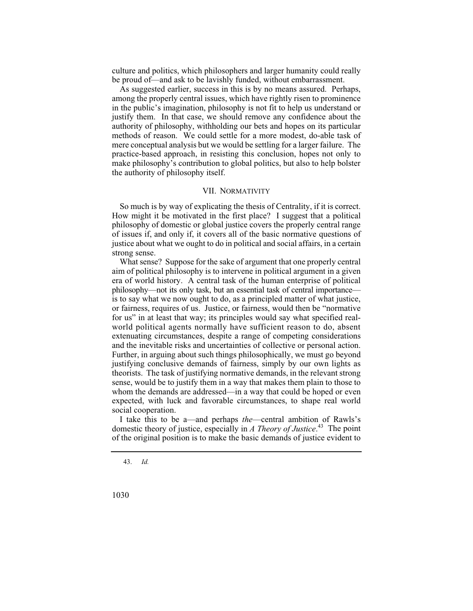culture and politics, which philosophers and larger humanity could really be proud of—and ask to be lavishly funded, without embarrassment.

As suggested earlier, success in this is by no means assured. Perhaps, among the properly central issues, which have rightly risen to prominence in the public's imagination, philosophy is not fit to help us understand or justify them. In that case, we should remove any confidence about the authority of philosophy, withholding our bets and hopes on its particular methods of reason. We could settle for a more modest, do-able task of mere conceptual analysis but we would be settling for a larger failure. The practice-based approach, in resisting this conclusion, hopes not only to make philosophy's contribution to global politics, but also to help bolster the authority of philosophy itself.

#### VII. NORMATIVITY

So much is by way of explicating the thesis of Centrality, if it is correct. How might it be motivated in the first place? I suggest that a political philosophy of domestic or global justice covers the properly central range of issues if, and only if, it covers all of the basic normative questions of justice about what we ought to do in political and social affairs, in a certain strong sense.

What sense? Suppose for the sake of argument that one properly central aim of political philosophy is to intervene in political argument in a given era of world history. A central task of the human enterprise of political philosophy—not its only task, but an essential task of central importance is to say what we now ought to do, as a principled matter of what justice, or fairness, requires of us. Justice, or fairness, would then be "normative for us" in at least that way; its principles would say what specified realworld political agents normally have sufficient reason to do, absent extenuating circumstances, despite a range of competing considerations and the inevitable risks and uncertainties of collective or personal action. Further, in arguing about such things philosophically, we must go beyond justifying conclusive demands of fairness, simply by our own lights as theorists. The task of justifying normative demands, in the relevant strong sense, would be to justify them in a way that makes them plain to those to whom the demands are addressed—in a way that could be hoped or even expected, with luck and favorable circumstances, to shape real world social cooperation.

I take this to be a—and perhaps *the*—central ambition of Rawls's domestic theory of justice, especially in *A Theory of Justice*. 43 The point of the original position is to make the basic demands of justice evident to

43. *Id.*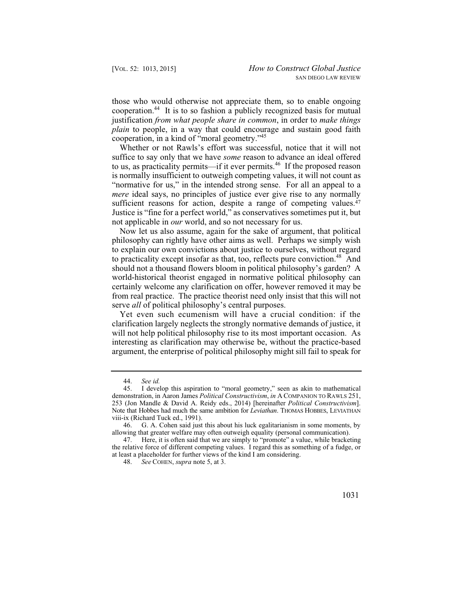those who would otherwise not appreciate them, so to enable ongoing cooperation.44 It is to so fashion a publicly recognized basis for mutual justification *from what people share in common*, in order to *make things plain* to people, in a way that could encourage and sustain good faith cooperation, in a kind of "moral geometry."45

Whether or not Rawls's effort was successful, notice that it will not suffice to say only that we have *some* reason to advance an ideal offered to us, as practicality permits—if it ever permits.46 If the proposed reason is normally insufficient to outweigh competing values, it will not count as "normative for us," in the intended strong sense. For all an appeal to a *mere* ideal says, no principles of justice ever give rise to any normally sufficient reasons for action, despite a range of competing values.<sup>47</sup> Justice is "fine for a perfect world," as conservatives sometimes put it, but not applicable in *our* world, and so not necessary for us.

Now let us also assume, again for the sake of argument, that political philosophy can rightly have other aims as well. Perhaps we simply wish to explain our own convictions about justice to ourselves, without regard to practicality except insofar as that, too, reflects pure conviction.<sup>48</sup> And should not a thousand flowers bloom in political philosophy's garden? A world-historical theorist engaged in normative political philosophy can certainly welcome any clarification on offer, however removed it may be from real practice. The practice theorist need only insist that this will not serve *all* of political philosophy's central purposes.

Yet even such ecumenism will have a crucial condition: if the clarification largely neglects the strongly normative demands of justice, it will not help political philosophy rise to its most important occasion. As interesting as clarification may otherwise be, without the practice-based argument, the enterprise of political philosophy might sill fail to speak for

<sup>44.</sup> *See id.* 

<sup>253 (</sup>Jon Mandle & David A. Reidy eds., 2014) [hereinafter Political Constructivism]. I develop this aspiration to "moral geometry," seen as akin to mathematical demonstration, in Aaron James *Political Constructivism*, *in* ACOMPANION TO RAWLS 251, Note that Hobbes had much the same ambition for *Leviathan*. THOMAS HOBBES, LEVIATHAN viii-ix (Richard Tuck ed., 1991).

<sup>46.</sup> G. A. Cohen said just this about his luck egalitarianism in some moments, by allowing that greater welfare may often outweigh equality (personal communication).

<sup>47.</sup> Here, it is often said that we are simply to "promote" a value, while bracketing the relative force of different competing values. I regard this as something of a fudge, or at least a placeholder for further views of the kind I am considering.

<sup>48.</sup> *See* COHEN, *supra* note 5, at 3.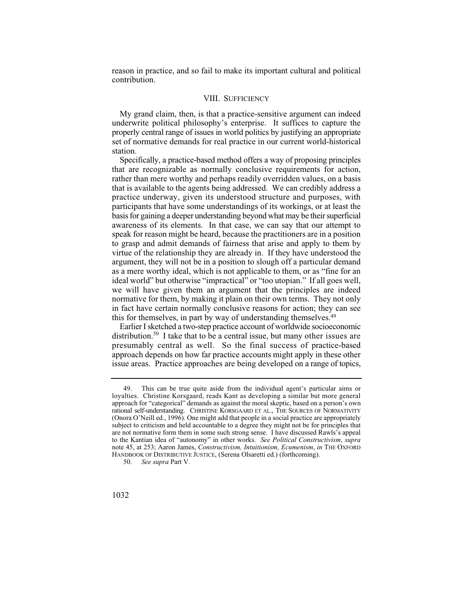reason in practice, and so fail to m ake its important cultural and political contribution.

## VIII. SUFFICIENCY

My grand claim, then, is that a practice-sensitive argument can indeed underwrite political philosophy's enterprise. It suffices to capture the properly central range of issues in world politics by justifying an appropriate set of normative demands for real practice in our current world-historical station.

Specifically, a practice-based method offers a way of proposing principles that are recognizable as normally conclusive requirements for action, rather than mere worthy and perhaps readily overridden values, on a basis that is available to the agents being addressed. We can credibly address a practice underway, given its understood structure and purposes, with participants that have some understandings of its workings, or at least the basis for gaining a deeper understanding beyond what may be their superficial awareness of its elements. In that case, we can say that our attempt to speak for reason might be heard, because the practitioners are in a position to grasp and admit demands of fairness that arise and apply to them by virtue of the relationship they are already in. If they have understood the argument, they will not be in a position to slough off a particular demand as a mere worthy ideal, which is not applicable to them, or as "fine for an ideal world" but otherwise "impractical" or "too utopian." If all goes well, we will have given them an argument that the principles are indeed normative for them, by making it plain on their own terms. They not only in fact have certain normally conclusive reasons for action; they can see this for themselves, in part by way of understanding themselves.49

distribution.<sup>50</sup> I take that to be a central issue, but many other issues are presumably central as well. So the final success of practice-based issue areas. Practice approaches are being developed on a range of topics, Earlier I sketched a two-step practice account of worldwide socioeconomic approach depends on how far practice accounts might apply in these other

<sup>50.</sup> *See supra* Part V.



<sup>49.</sup> This can be true quite aside from the individual agent's particular aims or loyalties. Christine Korsgaard, reads Kant as developing a similar but more general approach for "categorical" demands as against the moral skeptic, based on a person's own rational self-understanding. CHRISTINE KORSGAARD ET AL., THE SOURCES OF NORMATIVITY (Onora O'Neill ed., 1996). One might add that people in a social practice are appropriately subject to criticism and held accountable to a degree they might not be for principles that are not normative form them in some such strong sense. I have discussed Rawls's appeal to the Kantian idea of "autonomy" in other works. *See Political Constructivism*, *supra*  note 45, at 253; Aaron James, *Constructivism, Intuitionism, Ecumenism*, *in* THE OXFORD HANDBOOK OF DISTRIBUTIVE JUSTICE, (Serena Olsaretti ed.) (forthcoming).